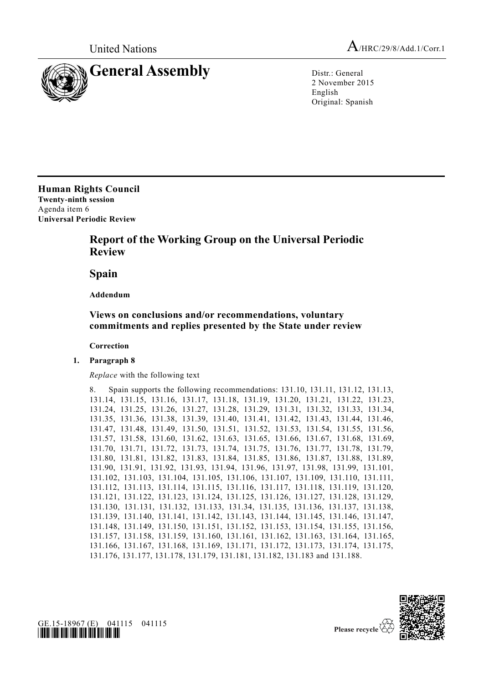



2 November 2015 English Original: Spanish

**Human Rights Council Twenty-ninth session** Agenda item 6 **Universal Periodic Review**

## **Report of the Working Group on the Universal Periodic Review**

**Spain**

**Addendum**

## **Views on conclusions and/or recommendations, voluntary commitments and replies presented by the State under review**

**Correction**

**1. Paragraph 8**

*Replace* with the following text

```
8. Spain supports the following recommendations: 131.10, 131.11, 131.12, 131.13, 
131.14, 131.15, 131.16, 131.17, 131.18, 131.19, 131.20, 131.21, 131.22, 131.23, 
131.24, 131.25, 131.26, 131.27, 131.28, 131.29, 131.31, 131.32, 131.33, 131.34, 
131.35, 131.36, 131.38, 131.39, 131.40, 131.41, 131.42, 131.43, 131.44, 131.46, 
131.47, 131.48, 131.49, 131.50, 131.51, 131.52, 131.53, 131.54, 131.55, 131.56, 
131.57, 131.58, 131.60, 131.62, 131.63, 131.65, 131.66, 131.67, 131.68, 131.69, 
131.70, 131.71, 131.72, 131.73, 131.74, 131.75, 131.76, 131.77, 131.78, 131.79, 
131.80, 131.81, 131.82, 131.83, 131.84, 131.85, 131.86, 131.87, 131.88, 131.89, 
131.90, 131.91, 131.92, 131.93, 131.94, 131.96, 131.97, 131.98, 131.99, 131.101, 
131.102, 131.103, 131.104, 131.105, 131.106, 131.107, 131.109, 131.110, 131.111, 
131.112, 131.113, 131.114, 131.115, 131.116, 131.117, 131.118, 131.119, 131.120, 
131.121, 131.122, 131.123, 131.124, 131.125, 131.126, 131.127, 131.128, 131.129, 
131.130, 131.131, 131.132, 131.133, 131.34, 131.135, 131.136, 131.137, 131.138, 
131.139, 131.140, 131.141, 131.142, 131.143, 131.144, 131.145, 131.146, 131.147, 
131.148, 131.149, 131.150, 131.151, 131.152, 131.153, 131.154, 131.155, 131.156, 
131.157, 131.158, 131.159, 131.160, 131.161, 131.162, 131.163, 131.164, 131.165, 
131.166, 131.167, 131.168, 131.169, 131.171, 131.172, 131.173, 131.174, 131.175, 
131.176, 131.177, 131.178, 131.179, 131.181, 131.182, 131.183 and 131.188.
```